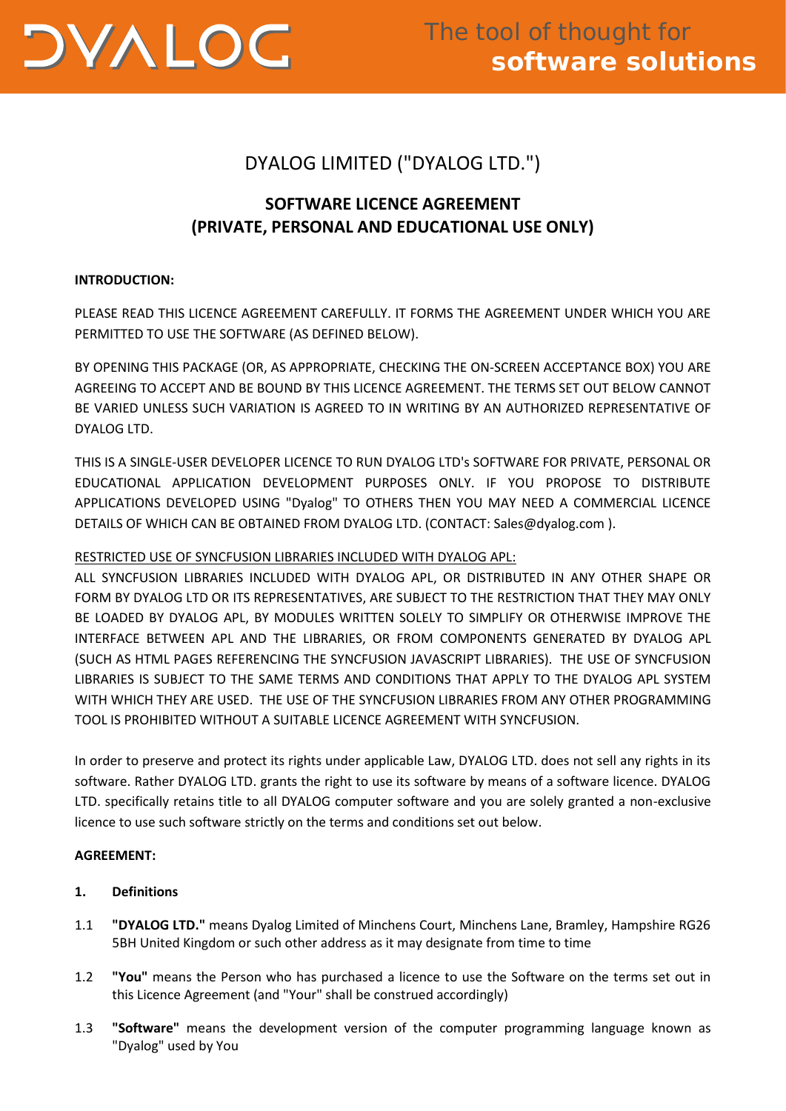

# DYALOG LIMITED ("DYALOG LTD.")

# **SOFTWARE LICENCE AGREEMENT (PRIVATE, PERSONAL AND EDUCATIONAL USE ONLY)**

## **INTRODUCTION:**

PLEASE READ THIS LICENCE AGREEMENT CAREFULLY. IT FORMS THE AGREEMENT UNDER WHICH YOU ARE PERMITTED TO USE THE SOFTWARE (AS DEFINED BELOW).

BY OPENING THIS PACKAGE (OR, AS APPROPRIATE, CHECKING THE ON-SCREEN ACCEPTANCE BOX) YOU ARE AGREEING TO ACCEPT AND BE BOUND BY THIS LICENCE AGREEMENT. THE TERMS SET OUT BELOW CANNOT BE VARIED UNLESS SUCH VARIATION IS AGREED TO IN WRITING BY AN AUTHORIZED REPRESENTATIVE OF DYALOG LTD.

THIS IS A SINGLE-USER DEVELOPER LICENCE TO RUN DYALOG LTD's SOFTWARE FOR PRIVATE, PERSONAL OR EDUCATIONAL APPLICATION DEVELOPMENT PURPOSES ONLY. IF YOU PROPOSE TO DISTRIBUTE APPLICATIONS DEVELOPED USING "Dyalog" TO OTHERS THEN YOU MAY NEED A COMMERCIAL LICENCE DETAILS OF WHICH CAN BE OBTAINED FROM DYALOG LTD. (CONTACT: Sales@dyalog.com ).

# RESTRICTED USE OF SYNCFUSION LIBRARIES INCLUDED WITH DYALOG APL:

ALL SYNCFUSION LIBRARIES INCLUDED WITH DYALOG APL, OR DISTRIBUTED IN ANY OTHER SHAPE OR FORM BY DYALOG LTD OR ITS REPRESENTATIVES, ARE SUBJECT TO THE RESTRICTION THAT THEY MAY ONLY BE LOADED BY DYALOG APL, BY MODULES WRITTEN SOLELY TO SIMPLIFY OR OTHERWISE IMPROVE THE INTERFACE BETWEEN APL AND THE LIBRARIES, OR FROM COMPONENTS GENERATED BY DYALOG APL (SUCH AS HTML PAGES REFERENCING THE SYNCFUSION JAVASCRIPT LIBRARIES). THE USE OF SYNCFUSION LIBRARIES IS SUBJECT TO THE SAME TERMS AND CONDITIONS THAT APPLY TO THE DYALOG APL SYSTEM WITH WHICH THEY ARE USED. THE USE OF THE SYNCFUSION LIBRARIES FROM ANY OTHER PROGRAMMING TOOL IS PROHIBITED WITHOUT A SUITABLE LICENCE AGREEMENT WITH SYNCFUSION.

In order to preserve and protect its rights under applicable Law, DYALOG LTD. does not sell any rights in its software. Rather DYALOG LTD. grants the right to use its software by means of a software licence. DYALOG LTD. specifically retains title to all DYALOG computer software and you are solely granted a non-exclusive licence to use such software strictly on the terms and conditions set out below.

# **AGREEMENT:**

# **1. Definitions**

- 1.1 **"DYALOG LTD."** means Dyalog Limited of Minchens Court, Minchens Lane, Bramley, Hampshire RG26 5BH United Kingdom or such other address as it may designate from time to time
- 1.2 **"You"** means the Person who has purchased a licence to use the Software on the terms set out in this Licence Agreement (and "Your" shall be construed accordingly)
- 1.3 **"Software"** means the development version of the computer programming language known as "Dyalog" used by You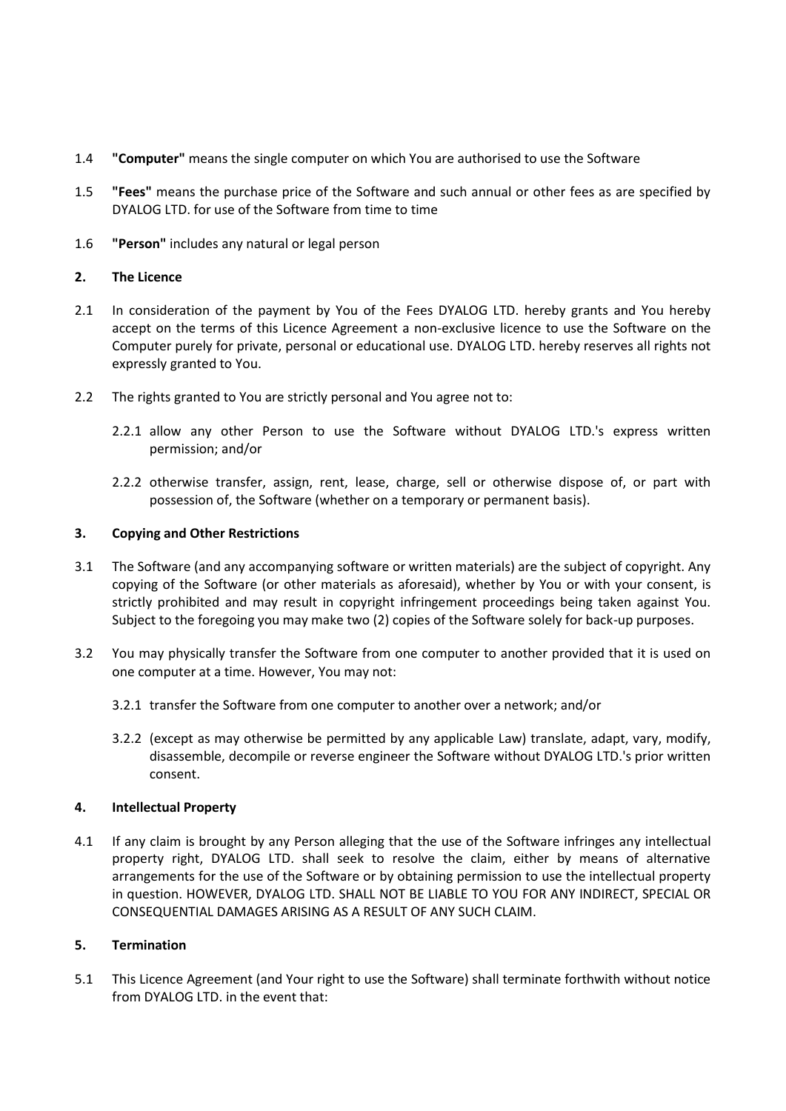- 1.4 **"Computer"** means the single computer on which You are authorised to use the Software
- 1.5 **"Fees"** means the purchase price of the Software and such annual or other fees as are specified by DYALOG LTD. for use of the Software from time to time
- 1.6 **"Person"** includes any natural or legal person

## **2. The Licence**

- 2.1 In consideration of the payment by You of the Fees DYALOG LTD. hereby grants and You hereby accept on the terms of this Licence Agreement a non-exclusive licence to use the Software on the Computer purely for private, personal or educational use. DYALOG LTD. hereby reserves all rights not expressly granted to You.
- 2.2 The rights granted to You are strictly personal and You agree not to:
	- 2.2.1 allow any other Person to use the Software without DYALOG LTD.'s express written permission; and/or
	- 2.2.2 otherwise transfer, assign, rent, lease, charge, sell or otherwise dispose of, or part with possession of, the Software (whether on a temporary or permanent basis).

## **3. Copying and Other Restrictions**

- 3.1 The Software (and any accompanying software or written materials) are the subject of copyright. Any copying of the Software (or other materials as aforesaid), whether by You or with your consent, is strictly prohibited and may result in copyright infringement proceedings being taken against You. Subject to the foregoing you may make two (2) copies of the Software solely for back-up purposes.
- 3.2 You may physically transfer the Software from one computer to another provided that it is used on one computer at a time. However, You may not:
	- 3.2.1 transfer the Software from one computer to another over a network; and/or
	- 3.2.2 (except as may otherwise be permitted by any applicable Law) translate, adapt, vary, modify, disassemble, decompile or reverse engineer the Software without DYALOG LTD.'s prior written consent.

## **4. Intellectual Property**

4.1 If any claim is brought by any Person alleging that the use of the Software infringes any intellectual property right, DYALOG LTD. shall seek to resolve the claim, either by means of alternative arrangements for the use of the Software or by obtaining permission to use the intellectual property in question. HOWEVER, DYALOG LTD. SHALL NOT BE LIABLE TO YOU FOR ANY INDIRECT, SPECIAL OR CONSEQUENTIAL DAMAGES ARISING AS A RESULT OF ANY SUCH CLAIM.

## **5. Termination**

5.1 This Licence Agreement (and Your right to use the Software) shall terminate forthwith without notice from DYALOG LTD. in the event that: